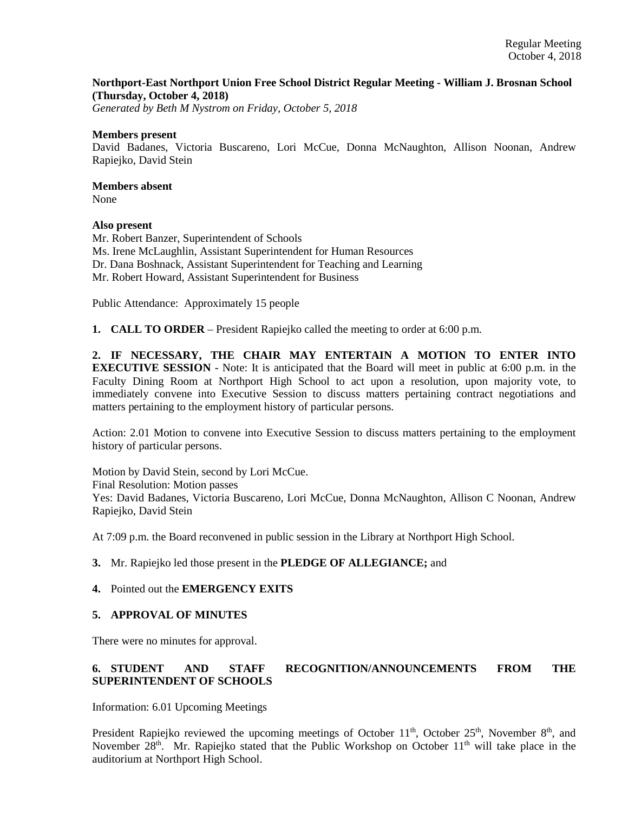## **Northport-East Northport Union Free School District Regular Meeting - William J. Brosnan School (Thursday, October 4, 2018)**

*Generated by Beth M Nystrom on Friday, October 5, 2018*

#### **Members present**

David Badanes, Victoria Buscareno, Lori McCue, Donna McNaughton, Allison Noonan, Andrew Rapiejko, David Stein

# **Members absent**

None

## **Also present**

Mr. Robert Banzer, Superintendent of Schools Ms. Irene McLaughlin, Assistant Superintendent for Human Resources Dr. Dana Boshnack, Assistant Superintendent for Teaching and Learning Mr. Robert Howard, Assistant Superintendent for Business

Public Attendance: Approximately 15 people

**1. CALL TO ORDER** – President Rapiejko called the meeting to order at 6:00 p.m.

**2. IF NECESSARY, THE CHAIR MAY ENTERTAIN A MOTION TO ENTER INTO EXECUTIVE SESSION** - Note: It is anticipated that the Board will meet in public at 6:00 p.m. in the Faculty Dining Room at Northport High School to act upon a resolution, upon majority vote, to immediately convene into Executive Session to discuss matters pertaining contract negotiations and matters pertaining to the employment history of particular persons.

Action: 2.01 Motion to convene into Executive Session to discuss matters pertaining to the employment history of particular persons.

Motion by David Stein, second by Lori McCue. Final Resolution: Motion passes Yes: David Badanes, Victoria Buscareno, Lori McCue, Donna McNaughton, Allison C Noonan, Andrew Rapiejko, David Stein

At 7:09 p.m. the Board reconvened in public session in the Library at Northport High School.

#### **3.** Mr. Rapiejko led those present in the **PLEDGE OF ALLEGIANCE;** and

#### **4.** Pointed out the **EMERGENCY EXITS**

## **5. APPROVAL OF MINUTES**

There were no minutes for approval.

# **6. STUDENT AND STAFF RECOGNITION/ANNOUNCEMENTS FROM THE SUPERINTENDENT OF SCHOOLS**

Information: 6.01 Upcoming Meetings

President Rapiejko reviewed the upcoming meetings of October  $11<sup>th</sup>$ , October  $25<sup>th</sup>$ , November  $8<sup>th</sup>$ , and November  $28<sup>th</sup>$ . Mr. Rapiejko stated that the Public Workshop on October 11<sup>th</sup> will take place in the auditorium at Northport High School.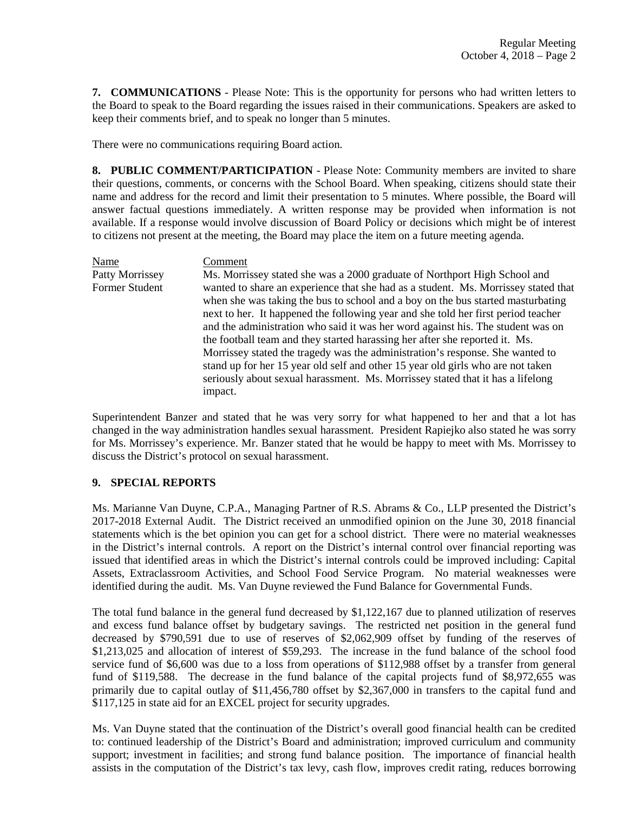**7. COMMUNICATIONS** - Please Note: This is the opportunity for persons who had written letters to the Board to speak to the Board regarding the issues raised in their communications. Speakers are asked to keep their comments brief, and to speak no longer than 5 minutes.

There were no communications requiring Board action.

**8. PUBLIC COMMENT/PARTICIPATION** - Please Note: Community members are invited to share their questions, comments, or concerns with the School Board. When speaking, citizens should state their name and address for the record and limit their presentation to 5 minutes. Where possible, the Board will answer factual questions immediately. A written response may be provided when information is not available. If a response would involve discussion of Board Policy or decisions which might be of interest to citizens not present at the meeting, the Board may place the item on a future meeting agenda.

Name Comment Patty Morrissey Ms. Morrissey stated she was a 2000 graduate of Northport High School and Former Student wanted to share an experience that she had as a student. Ms. Morrissey stated that when she was taking the bus to school and a boy on the bus started masturbating next to her. It happened the following year and she told her first period teacher and the administration who said it was her word against his. The student was on the football team and they started harassing her after she reported it. Ms. Morrissey stated the tragedy was the administration's response. She wanted to stand up for her 15 year old self and other 15 year old girls who are not taken seriously about sexual harassment. Ms. Morrissey stated that it has a lifelong impact.

Superintendent Banzer and stated that he was very sorry for what happened to her and that a lot has changed in the way administration handles sexual harassment. President Rapiejko also stated he was sorry for Ms. Morrissey's experience. Mr. Banzer stated that he would be happy to meet with Ms. Morrissey to discuss the District's protocol on sexual harassment.

# **9. SPECIAL REPORTS**

Ms. Marianne Van Duyne, C.P.A., Managing Partner of R.S. Abrams & Co., LLP presented the District's 2017-2018 External Audit. The District received an unmodified opinion on the June 30, 2018 financial statements which is the bet opinion you can get for a school district. There were no material weaknesses in the District's internal controls. A report on the District's internal control over financial reporting was issued that identified areas in which the District's internal controls could be improved including: Capital Assets, Extraclassroom Activities, and School Food Service Program. No material weaknesses were identified during the audit. Ms. Van Duyne reviewed the Fund Balance for Governmental Funds.

The total fund balance in the general fund decreased by \$1,122,167 due to planned utilization of reserves and excess fund balance offset by budgetary savings. The restricted net position in the general fund decreased by \$790,591 due to use of reserves of \$2,062,909 offset by funding of the reserves of \$1,213,025 and allocation of interest of \$59,293. The increase in the fund balance of the school food service fund of \$6,600 was due to a loss from operations of \$112,988 offset by a transfer from general fund of \$119,588. The decrease in the fund balance of the capital projects fund of \$8,972,655 was primarily due to capital outlay of \$11,456,780 offset by \$2,367,000 in transfers to the capital fund and \$117,125 in state aid for an EXCEL project for security upgrades.

Ms. Van Duyne stated that the continuation of the District's overall good financial health can be credited to: continued leadership of the District's Board and administration; improved curriculum and community support; investment in facilities; and strong fund balance position. The importance of financial health assists in the computation of the District's tax levy, cash flow, improves credit rating, reduces borrowing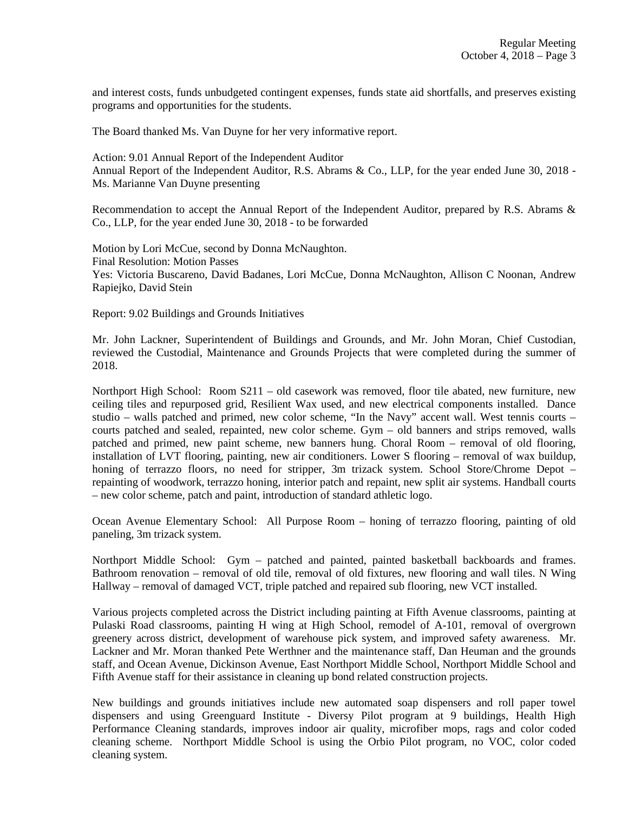and interest costs, funds unbudgeted contingent expenses, funds state aid shortfalls, and preserves existing programs and opportunities for the students.

The Board thanked Ms. Van Duyne for her very informative report.

Action: 9.01 Annual Report of the Independent Auditor Annual Report of the Independent Auditor, R.S. Abrams & Co., LLP, for the year ended June 30, 2018 - Ms. Marianne Van Duyne presenting

Recommendation to accept the Annual Report of the Independent Auditor, prepared by R.S. Abrams & Co., LLP, for the year ended June 30, 2018 - to be forwarded

Motion by Lori McCue, second by Donna McNaughton. Final Resolution: Motion Passes Yes: Victoria Buscareno, David Badanes, Lori McCue, Donna McNaughton, Allison C Noonan, Andrew Rapiejko, David Stein

Report: 9.02 Buildings and Grounds Initiatives

Mr. John Lackner, Superintendent of Buildings and Grounds, and Mr. John Moran, Chief Custodian, reviewed the Custodial, Maintenance and Grounds Projects that were completed during the summer of 2018.

Northport High School: Room S211 – old casework was removed, floor tile abated, new furniture, new ceiling tiles and repurposed grid, Resilient Wax used, and new electrical components installed. Dance studio – walls patched and primed, new color scheme, "In the Navy" accent wall. West tennis courts – courts patched and sealed, repainted, new color scheme. Gym – old banners and strips removed, walls patched and primed, new paint scheme, new banners hung. Choral Room – removal of old flooring, installation of LVT flooring, painting, new air conditioners. Lower S flooring – removal of wax buildup, honing of terrazzo floors, no need for stripper, 3m trizack system. School Store/Chrome Depot – repainting of woodwork, terrazzo honing, interior patch and repaint, new split air systems. Handball courts – new color scheme, patch and paint, introduction of standard athletic logo.

Ocean Avenue Elementary School: All Purpose Room – honing of terrazzo flooring, painting of old paneling, 3m trizack system.

Northport Middle School: Gym – patched and painted, painted basketball backboards and frames. Bathroom renovation – removal of old tile, removal of old fixtures, new flooring and wall tiles. N Wing Hallway – removal of damaged VCT, triple patched and repaired sub flooring, new VCT installed.

Various projects completed across the District including painting at Fifth Avenue classrooms, painting at Pulaski Road classrooms, painting H wing at High School, remodel of A-101, removal of overgrown greenery across district, development of warehouse pick system, and improved safety awareness. Mr. Lackner and Mr. Moran thanked Pete Werthner and the maintenance staff, Dan Heuman and the grounds staff, and Ocean Avenue, Dickinson Avenue, East Northport Middle School, Northport Middle School and Fifth Avenue staff for their assistance in cleaning up bond related construction projects.

New buildings and grounds initiatives include new automated soap dispensers and roll paper towel dispensers and using Greenguard Institute - Diversy Pilot program at 9 buildings, Health High Performance Cleaning standards, improves indoor air quality, microfiber mops, rags and color coded cleaning scheme. Northport Middle School is using the Orbio Pilot program, no VOC, color coded cleaning system.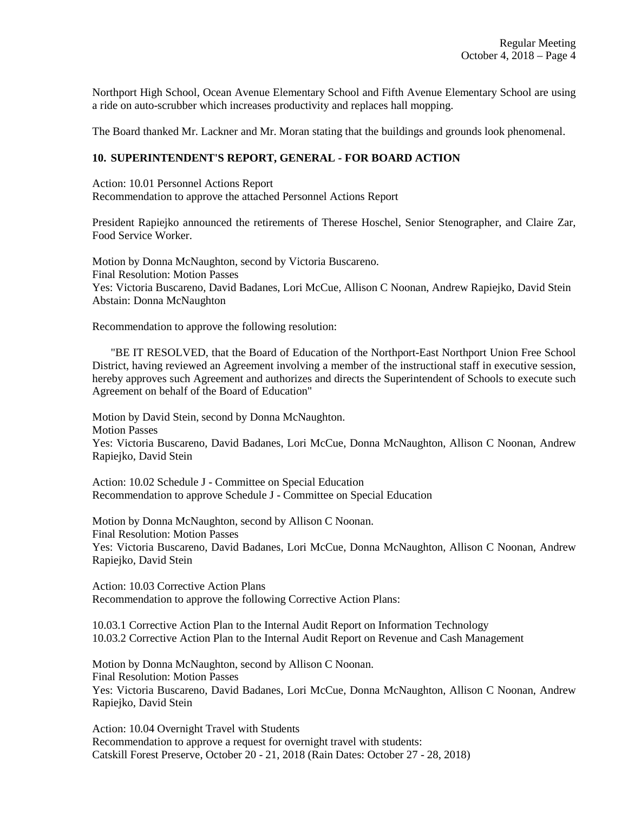Northport High School, Ocean Avenue Elementary School and Fifth Avenue Elementary School are using a ride on auto-scrubber which increases productivity and replaces hall mopping.

The Board thanked Mr. Lackner and Mr. Moran stating that the buildings and grounds look phenomenal.

## **10. SUPERINTENDENT'S REPORT, GENERAL - FOR BOARD ACTION**

Action: 10.01 Personnel Actions Report Recommendation to approve the attached Personnel Actions Report

President Rapiejko announced the retirements of Therese Hoschel, Senior Stenographer, and Claire Zar, Food Service Worker.

Motion by Donna McNaughton, second by Victoria Buscareno. Final Resolution: Motion Passes Yes: Victoria Buscareno, David Badanes, Lori McCue, Allison C Noonan, Andrew Rapiejko, David Stein Abstain: Donna McNaughton

Recommendation to approve the following resolution:

 "BE IT RESOLVED, that the Board of Education of the Northport-East Northport Union Free School District, having reviewed an Agreement involving a member of the instructional staff in executive session, hereby approves such Agreement and authorizes and directs the Superintendent of Schools to execute such Agreement on behalf of the Board of Education"

Motion by David Stein, second by Donna McNaughton. Motion Passes Yes: Victoria Buscareno, David Badanes, Lori McCue, Donna McNaughton, Allison C Noonan, Andrew Rapiejko, David Stein

Action: 10.02 Schedule J - Committee on Special Education Recommendation to approve Schedule J - Committee on Special Education

Motion by Donna McNaughton, second by Allison C Noonan. Final Resolution: Motion Passes Yes: Victoria Buscareno, David Badanes, Lori McCue, Donna McNaughton, Allison C Noonan, Andrew Rapiejko, David Stein

Action: 10.03 Corrective Action Plans Recommendation to approve the following Corrective Action Plans:

10.03.1 Corrective Action Plan to the Internal Audit Report on Information Technology 10.03.2 Corrective Action Plan to the Internal Audit Report on Revenue and Cash Management

Motion by Donna McNaughton, second by Allison C Noonan. Final Resolution: Motion Passes Yes: Victoria Buscareno, David Badanes, Lori McCue, Donna McNaughton, Allison C Noonan, Andrew Rapiejko, David Stein

Action: 10.04 Overnight Travel with Students Recommendation to approve a request for overnight travel with students: Catskill Forest Preserve, October 20 - 21, 2018 (Rain Dates: October 27 - 28, 2018)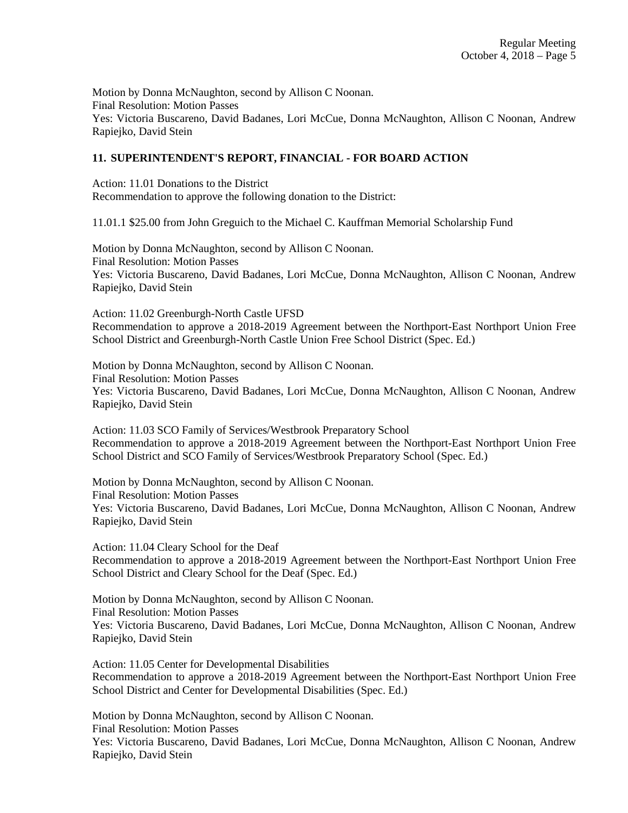Motion by Donna McNaughton, second by Allison C Noonan. Final Resolution: Motion Passes Yes: Victoria Buscareno, David Badanes, Lori McCue, Donna McNaughton, Allison C Noonan, Andrew Rapiejko, David Stein

# **11. SUPERINTENDENT'S REPORT, FINANCIAL - FOR BOARD ACTION**

Action: 11.01 Donations to the District Recommendation to approve the following donation to the District:

11.01.1 \$25.00 from John Greguich to the Michael C. Kauffman Memorial Scholarship Fund

Motion by Donna McNaughton, second by Allison C Noonan. Final Resolution: Motion Passes Yes: Victoria Buscareno, David Badanes, Lori McCue, Donna McNaughton, Allison C Noonan, Andrew Rapiejko, David Stein

Action: 11.02 Greenburgh-North Castle UFSD Recommendation to approve a 2018-2019 Agreement between the Northport-East Northport Union Free School District and Greenburgh-North Castle Union Free School District (Spec. Ed.)

Motion by Donna McNaughton, second by Allison C Noonan. Final Resolution: Motion Passes Yes: Victoria Buscareno, David Badanes, Lori McCue, Donna McNaughton, Allison C Noonan, Andrew Rapiejko, David Stein

Action: 11.03 SCO Family of Services/Westbrook Preparatory School Recommendation to approve a 2018-2019 Agreement between the Northport-East Northport Union Free School District and SCO Family of Services/Westbrook Preparatory School (Spec. Ed.)

Motion by Donna McNaughton, second by Allison C Noonan. Final Resolution: Motion Passes Yes: Victoria Buscareno, David Badanes, Lori McCue, Donna McNaughton, Allison C Noonan, Andrew Rapiejko, David Stein

Action: 11.04 Cleary School for the Deaf Recommendation to approve a 2018-2019 Agreement between the Northport-East Northport Union Free School District and Cleary School for the Deaf (Spec. Ed.)

Motion by Donna McNaughton, second by Allison C Noonan. Final Resolution: Motion Passes Yes: Victoria Buscareno, David Badanes, Lori McCue, Donna McNaughton, Allison C Noonan, Andrew Rapiejko, David Stein

Action: 11.05 Center for Developmental Disabilities Recommendation to approve a 2018-2019 Agreement between the Northport-East Northport Union Free School District and Center for Developmental Disabilities (Spec. Ed.)

Motion by Donna McNaughton, second by Allison C Noonan. Final Resolution: Motion Passes Yes: Victoria Buscareno, David Badanes, Lori McCue, Donna McNaughton, Allison C Noonan, Andrew Rapiejko, David Stein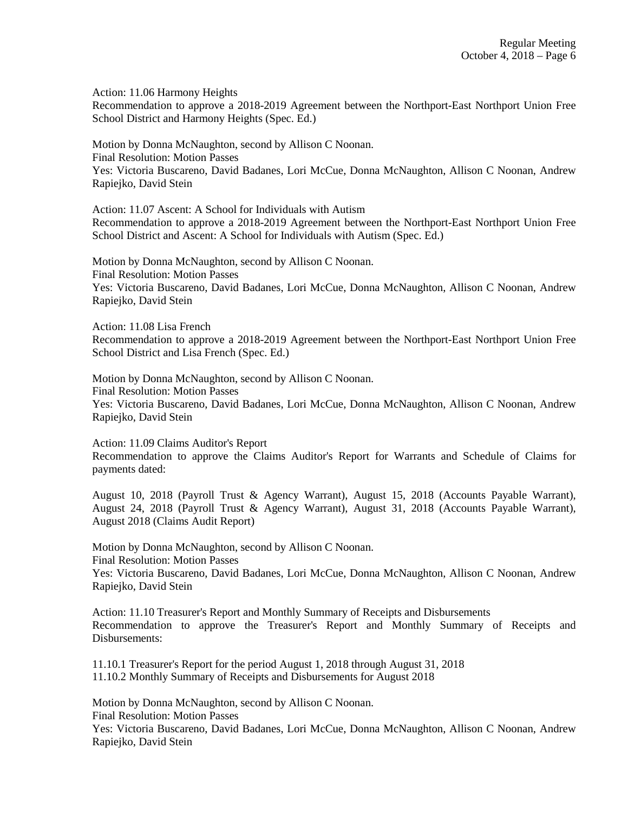Action: 11.06 Harmony Heights

Recommendation to approve a 2018-2019 Agreement between the Northport-East Northport Union Free School District and Harmony Heights (Spec. Ed.)

Motion by Donna McNaughton, second by Allison C Noonan. Final Resolution: Motion Passes Yes: Victoria Buscareno, David Badanes, Lori McCue, Donna McNaughton, Allison C Noonan, Andrew Rapiejko, David Stein

Action: 11.07 Ascent: A School for Individuals with Autism Recommendation to approve a 2018-2019 Agreement between the Northport-East Northport Union Free School District and Ascent: A School for Individuals with Autism (Spec. Ed.)

Motion by Donna McNaughton, second by Allison C Noonan. Final Resolution: Motion Passes Yes: Victoria Buscareno, David Badanes, Lori McCue, Donna McNaughton, Allison C Noonan, Andrew Rapiejko, David Stein

Action: 11.08 Lisa French Recommendation to approve a 2018-2019 Agreement between the Northport-East Northport Union Free School District and Lisa French (Spec. Ed.)

Motion by Donna McNaughton, second by Allison C Noonan. Final Resolution: Motion Passes Yes: Victoria Buscareno, David Badanes, Lori McCue, Donna McNaughton, Allison C Noonan, Andrew Rapiejko, David Stein

Action: 11.09 Claims Auditor's Report

Recommendation to approve the Claims Auditor's Report for Warrants and Schedule of Claims for payments dated:

August 10, 2018 (Payroll Trust & Agency Warrant), August 15, 2018 (Accounts Payable Warrant), August 24, 2018 (Payroll Trust & Agency Warrant), August 31, 2018 (Accounts Payable Warrant), August 2018 (Claims Audit Report)

Motion by Donna McNaughton, second by Allison C Noonan. Final Resolution: Motion Passes Yes: Victoria Buscareno, David Badanes, Lori McCue, Donna McNaughton, Allison C Noonan, Andrew Rapiejko, David Stein

Action: 11.10 Treasurer's Report and Monthly Summary of Receipts and Disbursements Recommendation to approve the Treasurer's Report and Monthly Summary of Receipts and Disbursements:

11.10.1 Treasurer's Report for the period August 1, 2018 through August 31, 2018 11.10.2 Monthly Summary of Receipts and Disbursements for August 2018

Motion by Donna McNaughton, second by Allison C Noonan.

Final Resolution: Motion Passes

Yes: Victoria Buscareno, David Badanes, Lori McCue, Donna McNaughton, Allison C Noonan, Andrew Rapiejko, David Stein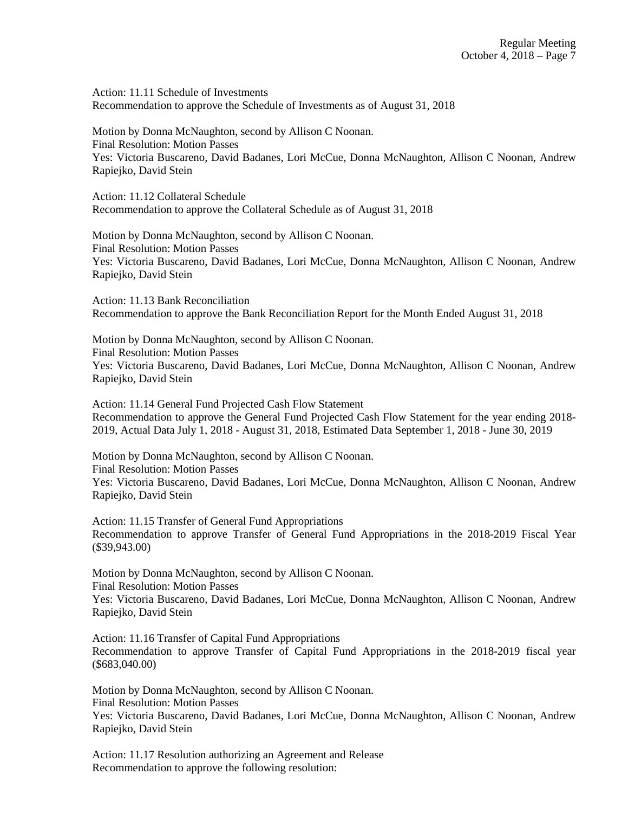Action: 11.11 Schedule of Investments Recommendation to approve the Schedule of Investments as of August 31, 2018

Motion by Donna McNaughton, second by Allison C Noonan. Final Resolution: Motion Passes Yes: Victoria Buscareno, David Badanes, Lori McCue, Donna McNaughton, Allison C Noonan, Andrew Rapiejko, David Stein

Action: 11.12 Collateral Schedule Recommendation to approve the Collateral Schedule as of August 31, 2018

Motion by Donna McNaughton, second by Allison C Noonan. Final Resolution: Motion Passes Yes: Victoria Buscareno, David Badanes, Lori McCue, Donna McNaughton, Allison C Noonan, Andrew Rapiejko, David Stein

Action: 11.13 Bank Reconciliation Recommendation to approve the Bank Reconciliation Report for the Month Ended August 31, 2018

Motion by Donna McNaughton, second by Allison C Noonan. Final Resolution: Motion Passes Yes: Victoria Buscareno, David Badanes, Lori McCue, Donna McNaughton, Allison C Noonan, Andrew Rapiejko, David Stein

Action: 11.14 General Fund Projected Cash Flow Statement Recommendation to approve the General Fund Projected Cash Flow Statement for the year ending 2018- 2019, Actual Data July 1, 2018 - August 31, 2018, Estimated Data September 1, 2018 - June 30, 2019

Motion by Donna McNaughton, second by Allison C Noonan. Final Resolution: Motion Passes Yes: Victoria Buscareno, David Badanes, Lori McCue, Donna McNaughton, Allison C Noonan, Andrew Rapiejko, David Stein

Action: 11.15 Transfer of General Fund Appropriations Recommendation to approve Transfer of General Fund Appropriations in the 2018-2019 Fiscal Year (\$39,943.00)

Motion by Donna McNaughton, second by Allison C Noonan. Final Resolution: Motion Passes Yes: Victoria Buscareno, David Badanes, Lori McCue, Donna McNaughton, Allison C Noonan, Andrew Rapiejko, David Stein

Action: 11.16 Transfer of Capital Fund Appropriations Recommendation to approve Transfer of Capital Fund Appropriations in the 2018-2019 fiscal year (\$683,040.00)

Motion by Donna McNaughton, second by Allison C Noonan. Final Resolution: Motion Passes Yes: Victoria Buscareno, David Badanes, Lori McCue, Donna McNaughton, Allison C Noonan, Andrew Rapiejko, David Stein

Action: 11.17 Resolution authorizing an Agreement and Release Recommendation to approve the following resolution: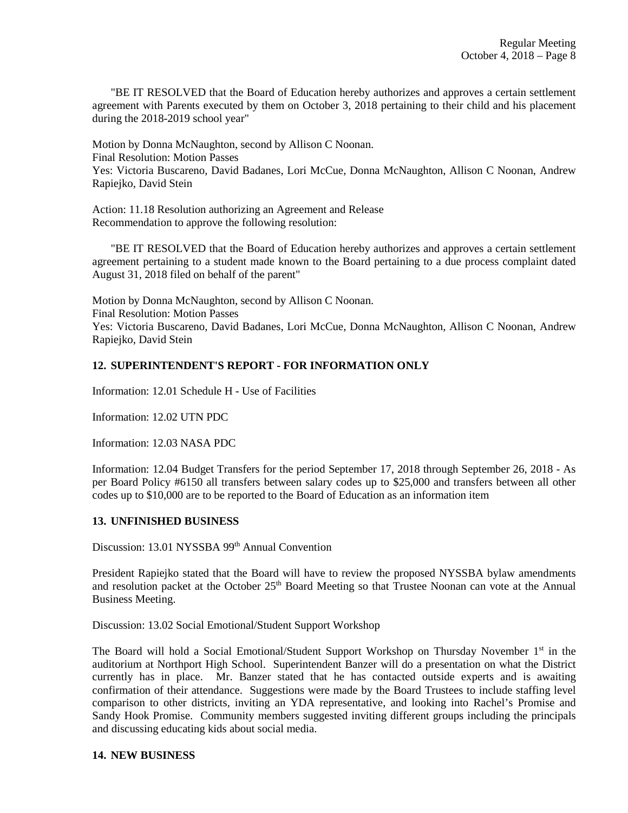"BE IT RESOLVED that the Board of Education hereby authorizes and approves a certain settlement agreement with Parents executed by them on October 3, 2018 pertaining to their child and his placement during the 2018-2019 school year"

Motion by Donna McNaughton, second by Allison C Noonan. Final Resolution: Motion Passes Yes: Victoria Buscareno, David Badanes, Lori McCue, Donna McNaughton, Allison C Noonan, Andrew Rapiejko, David Stein

Action: 11.18 Resolution authorizing an Agreement and Release Recommendation to approve the following resolution:

 "BE IT RESOLVED that the Board of Education hereby authorizes and approves a certain settlement agreement pertaining to a student made known to the Board pertaining to a due process complaint dated August 31, 2018 filed on behalf of the parent"

Motion by Donna McNaughton, second by Allison C Noonan. Final Resolution: Motion Passes Yes: Victoria Buscareno, David Badanes, Lori McCue, Donna McNaughton, Allison C Noonan, Andrew Rapiejko, David Stein

# **12. SUPERINTENDENT'S REPORT - FOR INFORMATION ONLY**

Information: 12.01 Schedule H - Use of Facilities

Information: 12.02 UTN PDC

Information: 12.03 NASA PDC

Information: 12.04 Budget Transfers for the period September 17, 2018 through September 26, 2018 - As per Board Policy #6150 all transfers between salary codes up to \$25,000 and transfers between all other codes up to \$10,000 are to be reported to the Board of Education as an information item

## **13. UNFINISHED BUSINESS**

Discussion: 13.01 NYSSBA 99<sup>th</sup> Annual Convention

President Rapiejko stated that the Board will have to review the proposed NYSSBA bylaw amendments and resolution packet at the October 25<sup>th</sup> Board Meeting so that Trustee Noonan can vote at the Annual Business Meeting.

Discussion: 13.02 Social Emotional/Student Support Workshop

The Board will hold a Social Emotional/Student Support Workshop on Thursday November 1<sup>st</sup> in the auditorium at Northport High School. Superintendent Banzer will do a presentation on what the District currently has in place. Mr. Banzer stated that he has contacted outside experts and is awaiting confirmation of their attendance. Suggestions were made by the Board Trustees to include staffing level comparison to other districts, inviting an YDA representative, and looking into Rachel's Promise and Sandy Hook Promise. Community members suggested inviting different groups including the principals and discussing educating kids about social media.

#### **14. NEW BUSINESS**